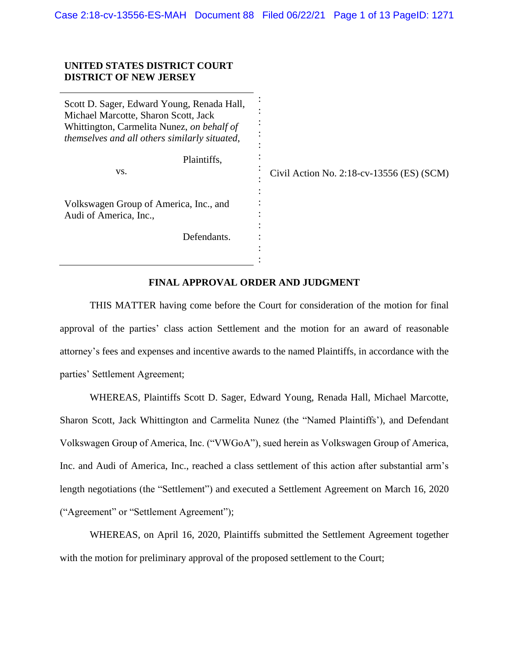## **UNITED STATES DISTRICT COURT DISTRICT OF NEW JERSEY**

Scott D. Sager, Edward Young, Renada Hall, Michael Marcotte, Sharon Scott, Jack Whittington, Carmelita Nunez, *on behalf of themselves and all others similarly situated*, Plaintiffs, vs. Volkswagen Group of America, Inc., and Audi of America, Inc., Defendants. : : : : : : : : : : : : : :

Civil Action No. 2:18-cv-13556 (ES) (SCM)

## **FINAL APPROVAL ORDER AND JUDGMENT**

:

THIS MATTER having come before the Court for consideration of the motion for final approval of the parties' class action Settlement and the motion for an award of reasonable attorney's fees and expenses and incentive awards to the named Plaintiffs, in accordance with the parties' Settlement Agreement;

WHEREAS, Plaintiffs Scott D. Sager, Edward Young, Renada Hall, Michael Marcotte, Sharon Scott, Jack Whittington and Carmelita Nunez (the "Named Plaintiffs'), and Defendant Volkswagen Group of America, Inc. ("VWGoA"), sued herein as Volkswagen Group of America, Inc. and Audi of America, Inc., reached a class settlement of this action after substantial arm's length negotiations (the "Settlement") and executed a Settlement Agreement on March 16, 2020 ("Agreement" or "Settlement Agreement");

WHEREAS, on April 16, 2020, Plaintiffs submitted the Settlement Agreement together with the motion for preliminary approval of the proposed settlement to the Court;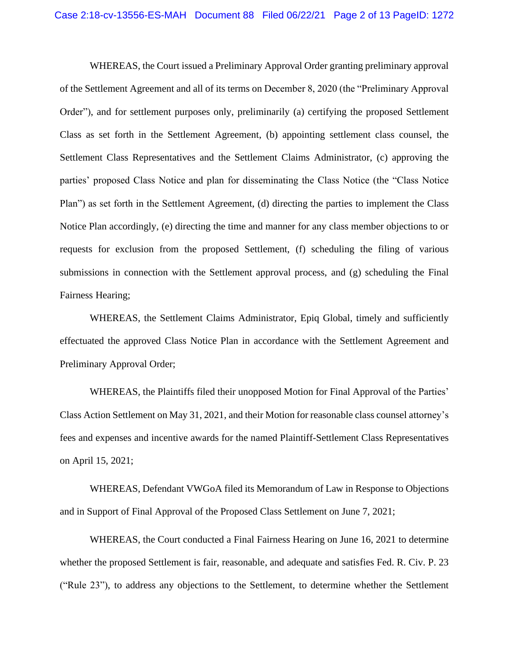WHEREAS, the Court issued a Preliminary Approval Order granting preliminary approval of the Settlement Agreement and all of its terms on December 8, 2020 (the "Preliminary Approval Order"), and for settlement purposes only, preliminarily (a) certifying the proposed Settlement Class as set forth in the Settlement Agreement, (b) appointing settlement class counsel, the Settlement Class Representatives and the Settlement Claims Administrator, (c) approving the parties' proposed Class Notice and plan for disseminating the Class Notice (the "Class Notice Plan") as set forth in the Settlement Agreement, (d) directing the parties to implement the Class Notice Plan accordingly, (e) directing the time and manner for any class member objections to or requests for exclusion from the proposed Settlement, (f) scheduling the filing of various submissions in connection with the Settlement approval process, and (g) scheduling the Final Fairness Hearing;

WHEREAS, the Settlement Claims Administrator, Epiq Global, timely and sufficiently effectuated the approved Class Notice Plan in accordance with the Settlement Agreement and Preliminary Approval Order;

WHEREAS, the Plaintiffs filed their unopposed Motion for Final Approval of the Parties' Class Action Settlement on May 31, 2021, and their Motion for reasonable class counsel attorney's fees and expenses and incentive awards for the named Plaintiff-Settlement Class Representatives on April 15, 2021;

WHEREAS, Defendant VWGoA filed its Memorandum of Law in Response to Objections and in Support of Final Approval of the Proposed Class Settlement on June 7, 2021;

WHEREAS, the Court conducted a Final Fairness Hearing on June 16, 2021 to determine whether the proposed Settlement is fair, reasonable, and adequate and satisfies Fed. R. Civ. P. 23 ("Rule 23"), to address any objections to the Settlement, to determine whether the Settlement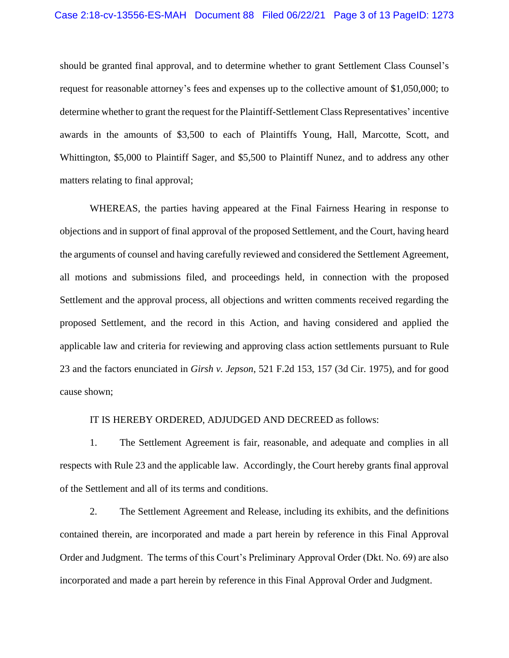should be granted final approval, and to determine whether to grant Settlement Class Counsel's request for reasonable attorney's fees and expenses up to the collective amount of \$1,050,000; to determine whether to grant the request for the Plaintiff-Settlement Class Representatives' incentive awards in the amounts of \$3,500 to each of Plaintiffs Young, Hall, Marcotte, Scott, and Whittington, \$5,000 to Plaintiff Sager, and \$5,500 to Plaintiff Nunez, and to address any other matters relating to final approval;

WHEREAS, the parties having appeared at the Final Fairness Hearing in response to objections and in support of final approval of the proposed Settlement, and the Court, having heard the arguments of counsel and having carefully reviewed and considered the Settlement Agreement, all motions and submissions filed, and proceedings held, in connection with the proposed Settlement and the approval process, all objections and written comments received regarding the proposed Settlement, and the record in this Action, and having considered and applied the applicable law and criteria for reviewing and approving class action settlements pursuant to Rule 23 and the factors enunciated in *Girsh v. Jepson*, 521 F.2d 153, 157 (3d Cir. 1975), and for good cause shown;

## IT IS HEREBY ORDERED, ADJUDGED AND DECREED as follows:

1. The Settlement Agreement is fair, reasonable, and adequate and complies in all respects with Rule 23 and the applicable law. Accordingly, the Court hereby grants final approval of the Settlement and all of its terms and conditions.

2. The Settlement Agreement and Release, including its exhibits, and the definitions contained therein, are incorporated and made a part herein by reference in this Final Approval Order and Judgment. The terms of this Court's Preliminary Approval Order (Dkt. No. 69) are also incorporated and made a part herein by reference in this Final Approval Order and Judgment.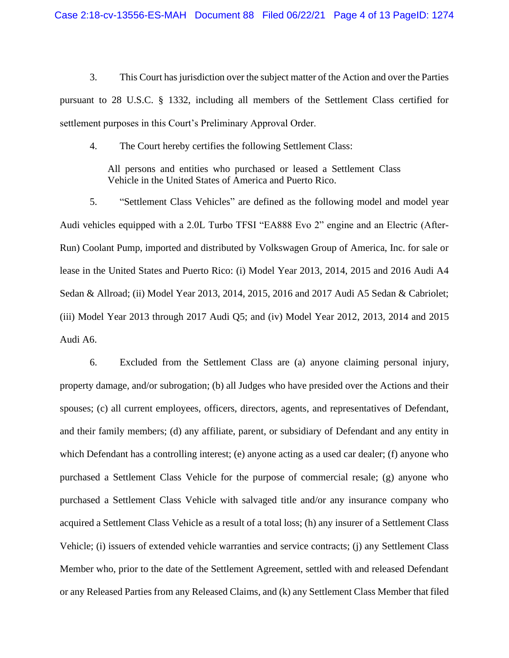3. This Court has jurisdiction over the subject matter of the Action and over the Parties pursuant to 28 U.S.C. § 1332, including all members of the Settlement Class certified for settlement purposes in this Court's Preliminary Approval Order.

4. The Court hereby certifies the following Settlement Class:

All persons and entities who purchased or leased a Settlement Class Vehicle in the United States of America and Puerto Rico.

5. "Settlement Class Vehicles" are defined as the following model and model year Audi vehicles equipped with a 2.0L Turbo TFSI "EA888 Evo 2" engine and an Electric (After-Run) Coolant Pump, imported and distributed by Volkswagen Group of America, Inc. for sale or lease in the United States and Puerto Rico: (i) Model Year 2013, 2014, 2015 and 2016 Audi A4 Sedan & Allroad; (ii) Model Year 2013, 2014, 2015, 2016 and 2017 Audi A5 Sedan & Cabriolet; (iii) Model Year 2013 through 2017 Audi Q5; and (iv) Model Year 2012, 2013, 2014 and 2015 Audi A6.

6. Excluded from the Settlement Class are (a) anyone claiming personal injury, property damage, and/or subrogation; (b) all Judges who have presided over the Actions and their spouses; (c) all current employees, officers, directors, agents, and representatives of Defendant, and their family members; (d) any affiliate, parent, or subsidiary of Defendant and any entity in which Defendant has a controlling interest; (e) anyone acting as a used car dealer; (f) anyone who purchased a Settlement Class Vehicle for the purpose of commercial resale; (g) anyone who purchased a Settlement Class Vehicle with salvaged title and/or any insurance company who acquired a Settlement Class Vehicle as a result of a total loss; (h) any insurer of a Settlement Class Vehicle; (i) issuers of extended vehicle warranties and service contracts; (j) any Settlement Class Member who, prior to the date of the Settlement Agreement, settled with and released Defendant or any Released Parties from any Released Claims, and (k) any Settlement Class Member that filed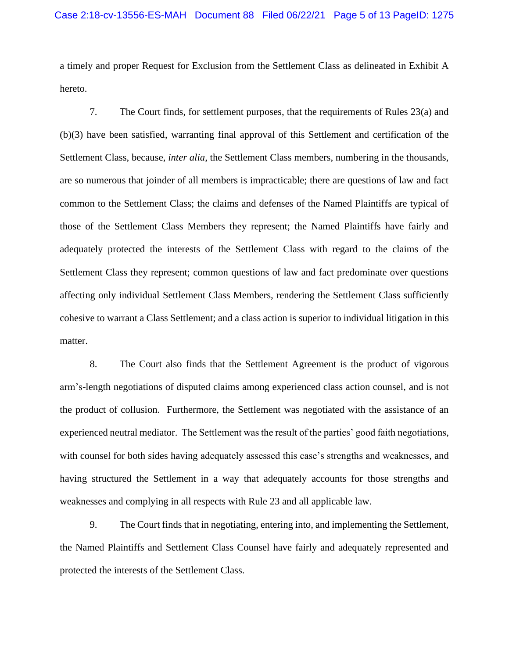a timely and proper Request for Exclusion from the Settlement Class as delineated in Exhibit A hereto.

7. The Court finds, for settlement purposes, that the requirements of Rules 23(a) and (b)(3) have been satisfied, warranting final approval of this Settlement and certification of the Settlement Class, because, *inter alia*, the Settlement Class members, numbering in the thousands, are so numerous that joinder of all members is impracticable; there are questions of law and fact common to the Settlement Class; the claims and defenses of the Named Plaintiffs are typical of those of the Settlement Class Members they represent; the Named Plaintiffs have fairly and adequately protected the interests of the Settlement Class with regard to the claims of the Settlement Class they represent; common questions of law and fact predominate over questions affecting only individual Settlement Class Members, rendering the Settlement Class sufficiently cohesive to warrant a Class Settlement; and a class action is superior to individual litigation in this matter.

8. The Court also finds that the Settlement Agreement is the product of vigorous arm's-length negotiations of disputed claims among experienced class action counsel, and is not the product of collusion. Furthermore, the Settlement was negotiated with the assistance of an experienced neutral mediator. The Settlement was the result of the parties' good faith negotiations, with counsel for both sides having adequately assessed this case's strengths and weaknesses, and having structured the Settlement in a way that adequately accounts for those strengths and weaknesses and complying in all respects with Rule 23 and all applicable law.

9. The Court finds that in negotiating, entering into, and implementing the Settlement, the Named Plaintiffs and Settlement Class Counsel have fairly and adequately represented and protected the interests of the Settlement Class.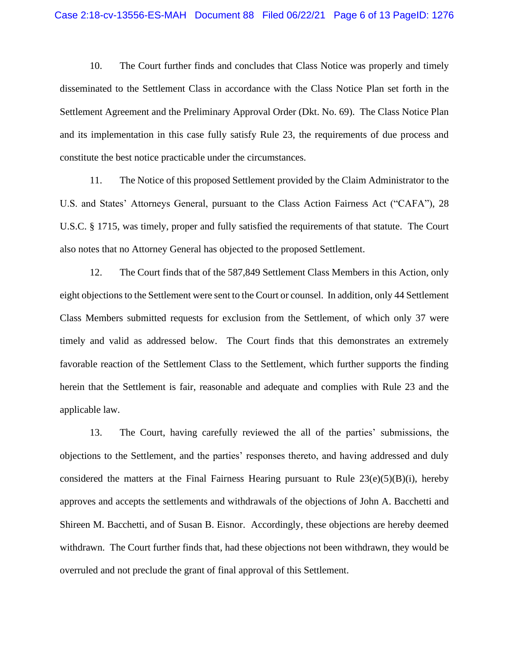10. The Court further finds and concludes that Class Notice was properly and timely disseminated to the Settlement Class in accordance with the Class Notice Plan set forth in the Settlement Agreement and the Preliminary Approval Order (Dkt. No. 69). The Class Notice Plan and its implementation in this case fully satisfy Rule 23, the requirements of due process and constitute the best notice practicable under the circumstances.

11. The Notice of this proposed Settlement provided by the Claim Administrator to the U.S. and States' Attorneys General, pursuant to the Class Action Fairness Act ("CAFA"), 28 U.S.C. § 1715, was timely, proper and fully satisfied the requirements of that statute. The Court also notes that no Attorney General has objected to the proposed Settlement.

12. The Court finds that of the 587,849 Settlement Class Members in this Action, only eight objections to the Settlement were sent to the Court or counsel. In addition, only 44 Settlement Class Members submitted requests for exclusion from the Settlement, of which only 37 were timely and valid as addressed below. The Court finds that this demonstrates an extremely favorable reaction of the Settlement Class to the Settlement, which further supports the finding herein that the Settlement is fair, reasonable and adequate and complies with Rule 23 and the applicable law.

13. The Court, having carefully reviewed the all of the parties' submissions, the objections to the Settlement, and the parties' responses thereto, and having addressed and duly considered the matters at the Final Fairness Hearing pursuant to Rule  $23(e)(5)(B)(i)$ , hereby approves and accepts the settlements and withdrawals of the objections of John A. Bacchetti and Shireen M. Bacchetti, and of Susan B. Eisnor. Accordingly, these objections are hereby deemed withdrawn. The Court further finds that, had these objections not been withdrawn, they would be overruled and not preclude the grant of final approval of this Settlement.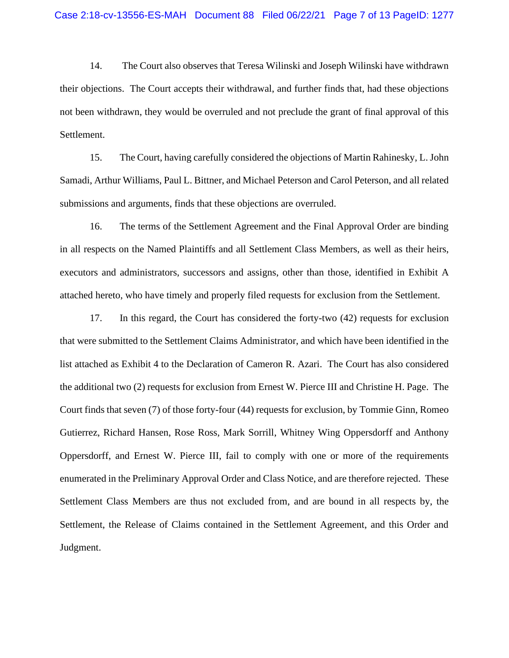14. The Court also observes that Teresa Wilinski and Joseph Wilinski have withdrawn their objections. The Court accepts their withdrawal, and further finds that, had these objections not been withdrawn, they would be overruled and not preclude the grant of final approval of this Settlement.

15. The Court, having carefully considered the objections of Martin Rahinesky, L. John Samadi, Arthur Williams, Paul L. Bittner, and Michael Peterson and Carol Peterson, and all related submissions and arguments, finds that these objections are overruled.

16. The terms of the Settlement Agreement and the Final Approval Order are binding in all respects on the Named Plaintiffs and all Settlement Class Members, as well as their heirs, executors and administrators, successors and assigns, other than those, identified in Exhibit A attached hereto, who have timely and properly filed requests for exclusion from the Settlement.

17. In this regard, the Court has considered the forty-two (42) requests for exclusion that were submitted to the Settlement Claims Administrator, and which have been identified in the list attached as Exhibit 4 to the Declaration of Cameron R. Azari. The Court has also considered the additional two (2) requests for exclusion from Ernest W. Pierce III and Christine H. Page. The Court finds that seven (7) of those forty-four (44) requests for exclusion, by Tommie Ginn, Romeo Gutierrez, Richard Hansen, Rose Ross, Mark Sorrill, Whitney Wing Oppersdorff and Anthony Oppersdorff, and Ernest W. Pierce III, fail to comply with one or more of the requirements enumerated in the Preliminary Approval Order and Class Notice, and are therefore rejected. These Settlement Class Members are thus not excluded from, and are bound in all respects by, the Settlement, the Release of Claims contained in the Settlement Agreement, and this Order and Judgment.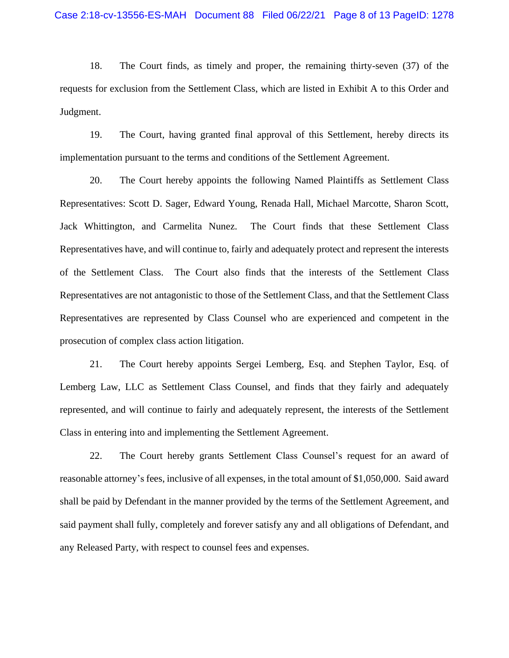18. The Court finds, as timely and proper, the remaining thirty-seven (37) of the requests for exclusion from the Settlement Class, which are listed in Exhibit A to this Order and Judgment.

19. The Court, having granted final approval of this Settlement, hereby directs its implementation pursuant to the terms and conditions of the Settlement Agreement.

20. The Court hereby appoints the following Named Plaintiffs as Settlement Class Representatives: Scott D. Sager, Edward Young, Renada Hall, Michael Marcotte, Sharon Scott, Jack Whittington, and Carmelita Nunez. The Court finds that these Settlement Class Representatives have, and will continue to, fairly and adequately protect and represent the interests of the Settlement Class. The Court also finds that the interests of the Settlement Class Representatives are not antagonistic to those of the Settlement Class, and that the Settlement Class Representatives are represented by Class Counsel who are experienced and competent in the prosecution of complex class action litigation.

21. The Court hereby appoints Sergei Lemberg, Esq. and Stephen Taylor, Esq. of Lemberg Law, LLC as Settlement Class Counsel, and finds that they fairly and adequately represented, and will continue to fairly and adequately represent, the interests of the Settlement Class in entering into and implementing the Settlement Agreement.

22. The Court hereby grants Settlement Class Counsel's request for an award of reasonable attorney's fees, inclusive of all expenses, in the total amount of \$1,050,000. Said award shall be paid by Defendant in the manner provided by the terms of the Settlement Agreement, and said payment shall fully, completely and forever satisfy any and all obligations of Defendant, and any Released Party, with respect to counsel fees and expenses.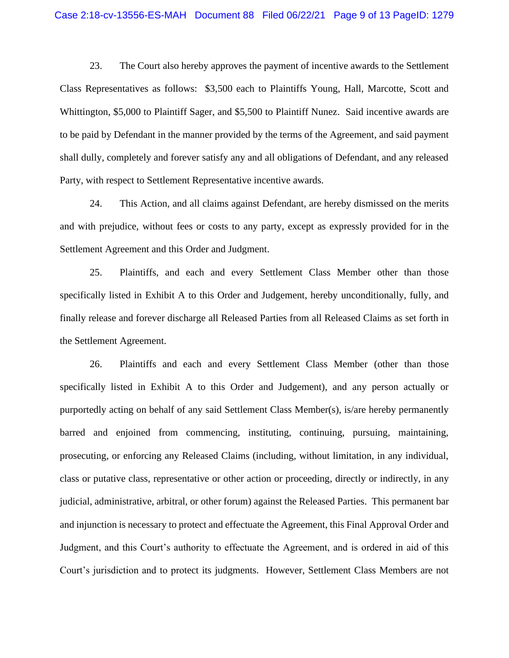23. The Court also hereby approves the payment of incentive awards to the Settlement Class Representatives as follows: \$3,500 each to Plaintiffs Young, Hall, Marcotte, Scott and Whittington, \$5,000 to Plaintiff Sager, and \$5,500 to Plaintiff Nunez. Said incentive awards are to be paid by Defendant in the manner provided by the terms of the Agreement, and said payment shall dully, completely and forever satisfy any and all obligations of Defendant, and any released Party, with respect to Settlement Representative incentive awards.

24. This Action, and all claims against Defendant, are hereby dismissed on the merits and with prejudice, without fees or costs to any party, except as expressly provided for in the Settlement Agreement and this Order and Judgment.

25. Plaintiffs, and each and every Settlement Class Member other than those specifically listed in Exhibit A to this Order and Judgement, hereby unconditionally, fully, and finally release and forever discharge all Released Parties from all Released Claims as set forth in the Settlement Agreement.

26. Plaintiffs and each and every Settlement Class Member (other than those specifically listed in Exhibit A to this Order and Judgement), and any person actually or purportedly acting on behalf of any said Settlement Class Member(s), is/are hereby permanently barred and enjoined from commencing, instituting, continuing, pursuing, maintaining, prosecuting, or enforcing any Released Claims (including, without limitation, in any individual, class or putative class, representative or other action or proceeding, directly or indirectly, in any judicial, administrative, arbitral, or other forum) against the Released Parties. This permanent bar and injunction is necessary to protect and effectuate the Agreement, this Final Approval Order and Judgment, and this Court's authority to effectuate the Agreement, and is ordered in aid of this Court's jurisdiction and to protect its judgments. However, Settlement Class Members are not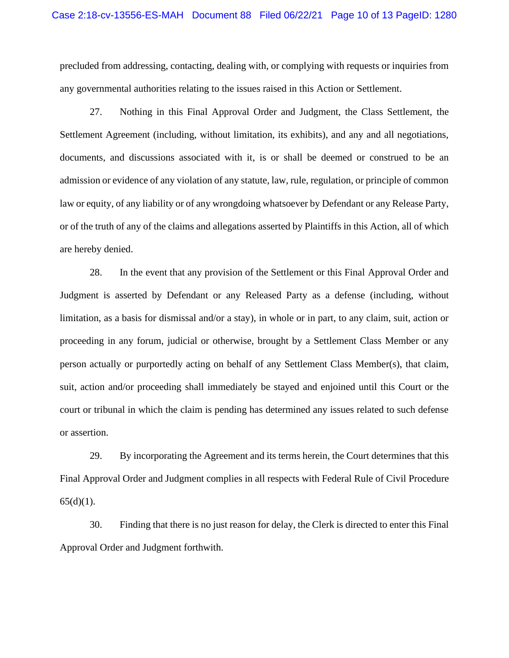precluded from addressing, contacting, dealing with, or complying with requests or inquiries from any governmental authorities relating to the issues raised in this Action or Settlement.

27. Nothing in this Final Approval Order and Judgment, the Class Settlement, the Settlement Agreement (including, without limitation, its exhibits), and any and all negotiations, documents, and discussions associated with it, is or shall be deemed or construed to be an admission or evidence of any violation of any statute, law, rule, regulation, or principle of common law or equity, of any liability or of any wrongdoing whatsoever by Defendant or any Release Party, or of the truth of any of the claims and allegations asserted by Plaintiffs in this Action, all of which are hereby denied.

28. In the event that any provision of the Settlement or this Final Approval Order and Judgment is asserted by Defendant or any Released Party as a defense (including, without limitation, as a basis for dismissal and/or a stay), in whole or in part, to any claim, suit, action or proceeding in any forum, judicial or otherwise, brought by a Settlement Class Member or any person actually or purportedly acting on behalf of any Settlement Class Member(s), that claim, suit, action and/or proceeding shall immediately be stayed and enjoined until this Court or the court or tribunal in which the claim is pending has determined any issues related to such defense or assertion.

29. By incorporating the Agreement and its terms herein, the Court determines that this Final Approval Order and Judgment complies in all respects with Federal Rule of Civil Procedure  $65(d)(1)$ .

30. Finding that there is no just reason for delay, the Clerk is directed to enter this Final Approval Order and Judgment forthwith.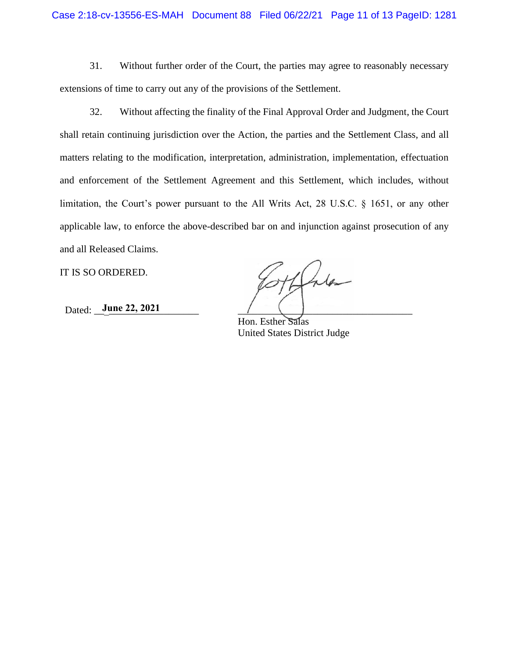31. Without further order of the Court, the parties may agree to reasonably necessary extensions of time to carry out any of the provisions of the Settlement.

32. Without affecting the finality of the Final Approval Order and Judgment, the Court shall retain continuing jurisdiction over the Action, the parties and the Settlement Class, and all matters relating to the modification, interpretation, administration, implementation, effectuation and enforcement of the Settlement Agreement and this Settlement, which includes, without limitation, the Court's power pursuant to the All Writs Act, 28 U.S.C. § 1651, or any other applicable law, to enforce the above-described bar on and injunction against prosecution of any and all Released Claims.

IT IS SO ORDERED.

Dated: <u>June 22, 2021</u> / (1)

Lila

Hon. Esther Salas United States District Judge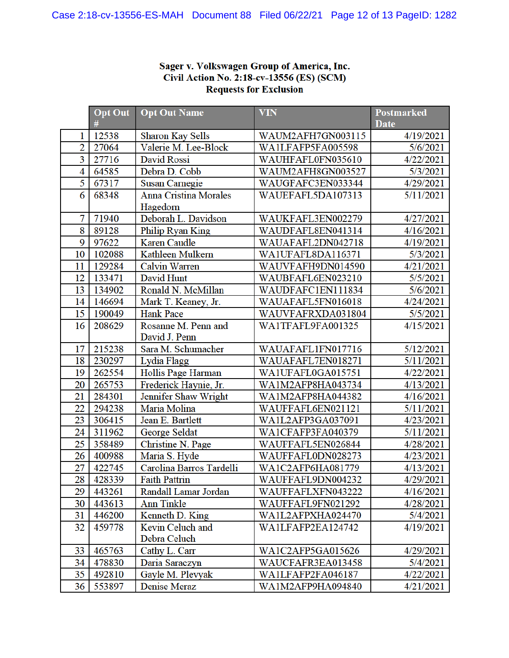## Sager v. Volkswagen Group of America, Inc. Civil Action No. 2:18-cv-13556 (ES) (SCM)<br>Requests for Exclusion

|                | <b>Opt Out</b> | <b>Opt Out Name</b>                      | <b>VIN</b>        | Postmarked  |
|----------------|----------------|------------------------------------------|-------------------|-------------|
|                | #              |                                          |                   | <b>Date</b> |
| 1              | 12538          | <b>Sharon Kay Sells</b>                  | WAUM2AFH7GN003115 | 4/19/2021   |
| $\overline{2}$ | 27064          | Valerie M. Lee-Block                     | WA1LFAFP5FA005598 | 5/6/2021    |
| 3              | 27716          | David Rossi                              | WAUHFAFL0FN035610 | 4/22/2021   |
| 4<br>5         | 64585          | Debra D. Cobb                            | WAUM2AFH8GN003527 | 5/3/2021    |
|                | 67317          | <b>Susan Carnegie</b>                    | WAUGFAFC3EN033344 | 4/29/2021   |
| 6              | 68348          | <b>Anna Cristina Morales</b><br>Hagedorn | WAUEFAFL5DA107313 | 5/11/2021   |
| 7              | 71940          | Deborah L. Davidson                      | WAUKFAFL3EN002279 | 4/27/2021   |
| 8              | 89128          | <b>Philip Ryan King</b>                  | WAUDFAFL8EN041314 | 4/16/2021   |
| 9              | 97622          | <b>Karen Caudle</b>                      | WAUAFAFL2DN042718 | 4/19/2021   |
| 10             | 102088         | Kathleen Mulkern                         | WA1UFAFL8DA116371 | 5/3/2021    |
| 11             | 129284         | <b>Calvin Warren</b>                     | WAUVFAFH9DN014590 | 4/21/2021   |
| 12             | 133471         | David Hunt                               | WAUBFAFL6EN023210 | 5/5/2021    |
| 13             | 134902         | Ronald N. McMillan                       | WAUDFAFC1EN111834 | 5/6/2021    |
| 14             | 146694         | Mark T. Keaney, Jr.                      | WAUAFAFL5FN016018 | 4/24/2021   |
| 15             | 190049         | <b>Hank Pace</b>                         | WAUVFAFRXDA031804 | 5/5/2021    |
| 16             | 208629         | Rosanne M. Penn and                      | WA1TFAFL9FA001325 | 4/15/2021   |
|                |                | David J. Penn                            |                   |             |
| 17             | 215238         | Sara M. Schumacher                       | WAUAFAFL1FN017716 | 5/12/2021   |
| 18             | 230297         | Lydia Flagg                              | WAUAFAFL7EN018271 | 5/11/2021   |
| 19             | 262554         | Hollis Page Harman                       | WA1UFAFL0GA015751 | 4/22/2021   |
| 20             | 265753         | Frederick Haynie, Jr.                    | WA1M2AFP8HA043734 | 4/13/2021   |
| 21             | 284301         | Jennifer Shaw Wright                     | WA1M2AFP8HA044382 | 4/16/2021   |
| 22             | 294238         | Maria Molina                             | WAUFFAFL6EN021121 | 5/11/2021   |
| 23             | 306415         | Jean E. Bartlett                         | WA1L2AFP3GA037091 | 4/23/2021   |
| 24             | 311962         | George Seldat                            | WA1CFAFP3FA040379 | 5/11/2021   |
| 25             | 358489         | Christine N. Page                        | WAUFFAFL5EN026844 | 4/28/2021   |
| 26             | 400988         | Maria S. Hyde                            | WAUFFAFL0DN028273 | 4/23/2021   |
| 27             | 422745         | Carolina Barros Tardelli                 | WA1C2AFP6HA081779 | 4/13/2021   |
| 28             | 428339         | <b>Faith Pattrin</b>                     | WAUFFAFL9DN004232 | 4/29/2021   |
| 29             | 443261         | Randall Lamar Jordan                     | WAUFFAFLXFN043222 | 4/16/2021   |
| 30             | 443613         | <b>Ann Tinkle</b>                        | WAUFFAFL9FN021292 | 4/28/2021   |
| 31             | 446200         | Kenneth D. King                          | WA1L2AFPXHA024470 | 5/4/2021    |
| 32             | 459778         | Kevin Celuch and                         | WA1LFAFP2EA124742 | 4/19/2021   |
|                |                | Debra Celuch                             |                   |             |
| 33             | 465763         | Cathy L. Carr                            | WA1C2AFP5GA015626 | 4/29/2021   |
| 34             | 478830         | Daria Saraczyn                           | WAUCFAFR3EA013458 | 5/4/2021    |
| 35             | 492810         | Gayle M. Plevyak                         | WAILFAFP2FA046187 | 4/22/2021   |
| 36             | 553897         | Denise Meraz                             | WA1M2AFP9HA094840 | 4/21/2021   |